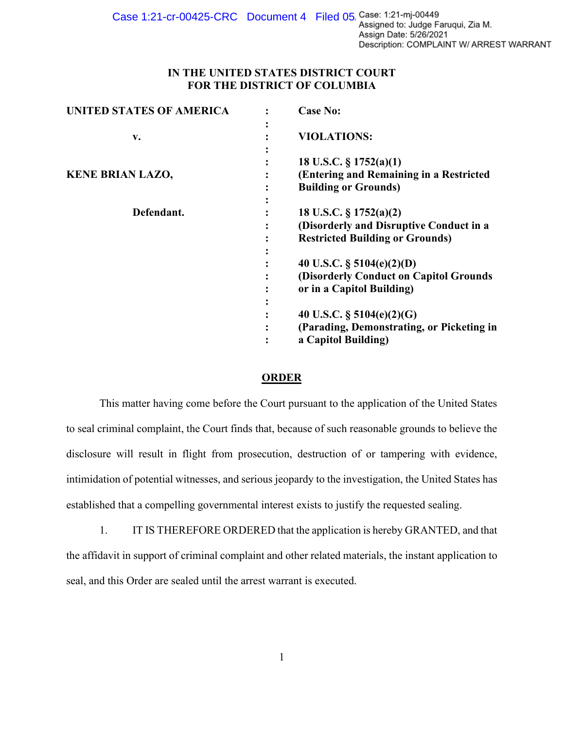Case 1:21-cr-00425-CRC Document 4 Filed 05 Case: 1:21-mj-00449 Assign Date: 5/26/2021 Description: COMPLAINT W/ ARREST WARRANT

## **IN THE UNITED STATES DISTRICT COURT FOR THE DISTRICT OF COLUMBIA**

| <b>UNITED STATES OF AMERICA</b> | <b>Case No:</b>                                                                                                |
|---------------------------------|----------------------------------------------------------------------------------------------------------------|
| v.                              | <b>VIOLATIONS:</b>                                                                                             |
| <b>KENE BRIAN LAZO,</b>         | 18 U.S.C. $\S 1752(a)(1)$<br>(Entering and Remaining in a Restricted<br><b>Building or Grounds)</b>            |
| Defendant.                      | 18 U.S.C. $\S 1752(a)(2)$<br>(Disorderly and Disruptive Conduct in a<br><b>Restricted Building or Grounds)</b> |
|                                 | 40 U.S.C. $\S$ 5104(e)(2)(D)<br>(Disorderly Conduct on Capitol Grounds<br>or in a Capitol Building)            |
|                                 | 40 U.S.C. $\S$ 5104(e)(2)(G)<br>(Parading, Demonstrating, or Picketing in<br>a Capitol Building)               |

## **ORDER**

This matter having come before the Court pursuant to the application of the United States to seal criminal complaint, the Court finds that, because of such reasonable grounds to believe the disclosure will result in flight from prosecution, destruction of or tampering with evidence, intimidation of potential witnesses, and serious jeopardy to the investigation, the United States has established that a compelling governmental interest exists to justify the requested sealing.

1. IT IS THEREFORE ORDERED that the application is hereby GRANTED, and that the affidavit in support of criminal complaint and other related materials, the instant application to seal, and this Order are sealed until the arrest warrant is executed.